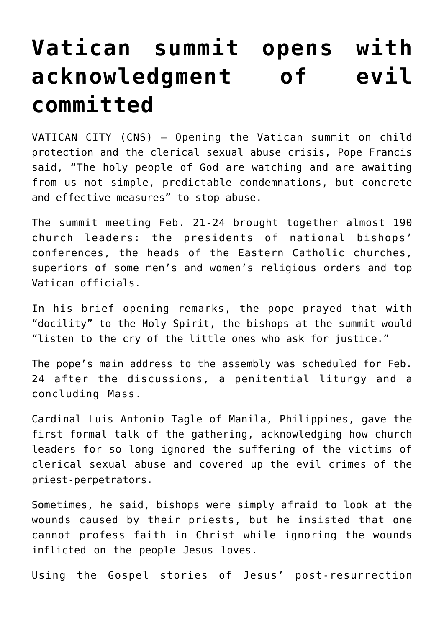## **[Vatican summit opens with](https://www.osvnews.com/2019/02/21/vatican-summit-opens-with-acknowledgment-of-evil-committed/) [acknowledgment of evil](https://www.osvnews.com/2019/02/21/vatican-summit-opens-with-acknowledgment-of-evil-committed/) [committed](https://www.osvnews.com/2019/02/21/vatican-summit-opens-with-acknowledgment-of-evil-committed/)**

VATICAN CITY (CNS) — Opening the Vatican summit on child protection and the clerical sexual abuse crisis, Pope Francis said, "The holy people of God are watching and are awaiting from us not simple, predictable condemnations, but concrete and effective measures" to stop abuse.

The summit meeting Feb. 21-24 brought together almost 190 church leaders: the presidents of national bishops' conferences, the heads of the Eastern Catholic churches, superiors of some men's and women's religious orders and top Vatican officials.

In his brief opening remarks, the pope prayed that with "docility" to the Holy Spirit, the bishops at the summit would "listen to the cry of the little ones who ask for justice."

The pope's main address to the assembly was scheduled for Feb. 24 after the discussions, a penitential liturgy and a concluding Mass.

Cardinal Luis Antonio Tagle of Manila, Philippines, gave the first formal talk of the gathering, acknowledging how church leaders for so long ignored the suffering of the victims of clerical sexual abuse and covered up the evil crimes of the priest-perpetrators.

Sometimes, he said, bishops were simply afraid to look at the wounds caused by their priests, but he insisted that one cannot profess faith in Christ while ignoring the wounds inflicted on the people Jesus loves.

Using the Gospel stories of Jesus' post-resurrection